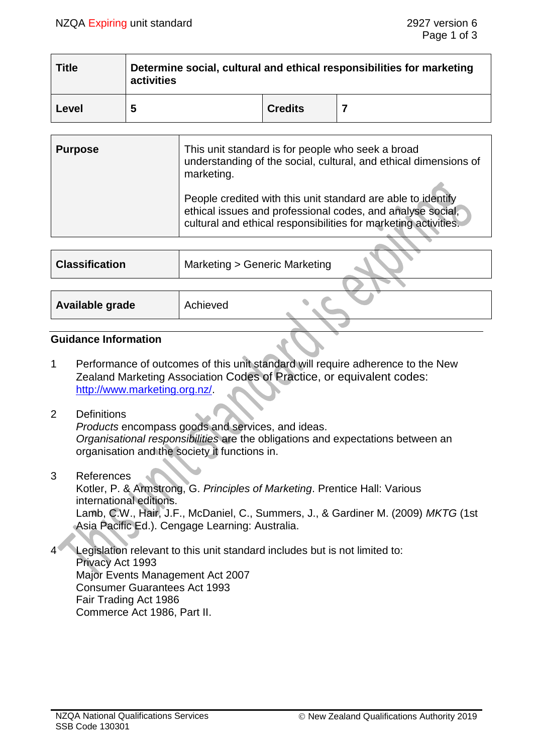| <b>Title</b> | Determine social, cultural and ethical responsibilities for marketing<br>activities |                |  |  |
|--------------|-------------------------------------------------------------------------------------|----------------|--|--|
| Level        | 5                                                                                   | <b>Credits</b> |  |  |

| <b>Purpose</b> | This unit standard is for people who seek a broad<br>understanding of the social, cultural, and ethical dimensions of<br>marketing.                                                           |
|----------------|-----------------------------------------------------------------------------------------------------------------------------------------------------------------------------------------------|
|                | People credited with this unit standard are able to identify<br>ethical issues and professional codes, and analyse social,<br>cultural and ethical responsibilities for marketing activities. |
|                |                                                                                                                                                                                               |

| <b>Classification</b> | Marketing > Generic Marketing |
|-----------------------|-------------------------------|
|                       |                               |
| Available grade       | Achieved                      |
|                       |                               |

## **Guidance Information**

- 1 Performance of outcomes of this unit standard will require adherence to the New Zealand Marketing Association Codes of Practice, or equivalent codes: [http://www.marketing.org.nz/.](http://www.marketing.org.nz/)
- 2 Definitions

*Products* encompass goods and services, and ideas. *Organisational responsibilities* are the obligations and expectations between an organisation and the society it functions in.

3 References

Kotler, P. & Armstrong, G. *Principles of Marketing*. Prentice Hall: Various international editions. Lamb, C.W., Hair, J.F., McDaniel, C., Summers, J., & Gardiner M. (2009) *MKTG* (1st Asia Pacific Ed.). Cengage Learning: Australia.

4 Legislation relevant to this unit standard includes but is not limited to: Privacy Act 1993 Major Events Management Act 2007 Consumer Guarantees Act 1993 Fair Trading Act 1986 Commerce Act 1986, Part II.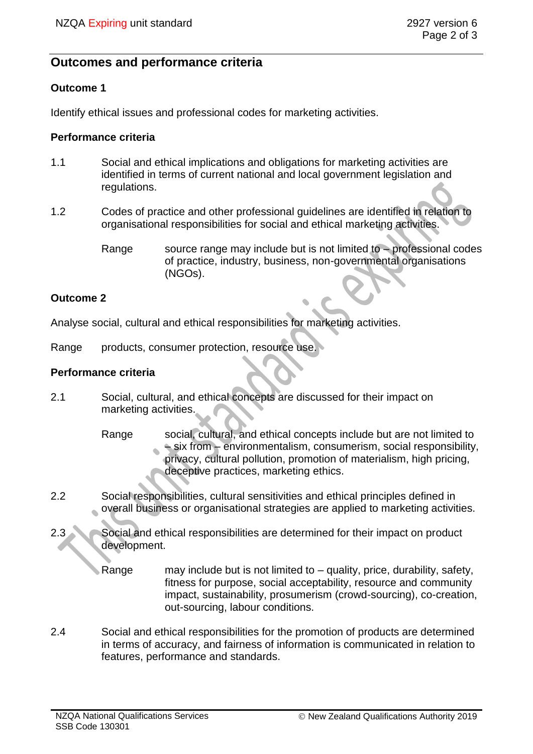# **Outcomes and performance criteria**

# **Outcome 1**

Identify ethical issues and professional codes for marketing activities.

## **Performance criteria**

- 1.1 Social and ethical implications and obligations for marketing activities are identified in terms of current national and local government legislation and regulations.
- 1.2 Codes of practice and other professional guidelines are identified in relation to organisational responsibilities for social and ethical marketing activities.
	- Range source range may include but is not limited to  $-$  professional codes of practice, industry, business, non-governmental organisations (NGOs).

## **Outcome 2**

Analyse social, cultural and ethical responsibilities for marketing activities.

Range products, consumer protection, resource use.

# **Performance criteria**

- 2.1 Social, cultural, and ethical concepts are discussed for their impact on marketing activities.
	- Range social, cultural, and ethical concepts include but are not limited to – six from – environmentalism, consumerism, social responsibility, privacy, cultural pollution, promotion of materialism, high pricing, deceptive practices, marketing ethics.
- 2.2 Social responsibilities, cultural sensitivities and ethical principles defined in overall business or organisational strategies are applied to marketing activities.
- 2.3 Social and ethical responsibilities are determined for their impact on product development.
	- Range may include but is not limited to quality, price, durability, safety, fitness for purpose, social acceptability, resource and community impact, sustainability, prosumerism (crowd-sourcing), co-creation, out-sourcing, labour conditions.
- 2.4 Social and ethical responsibilities for the promotion of products are determined in terms of accuracy, and fairness of information is communicated in relation to features, performance and standards.